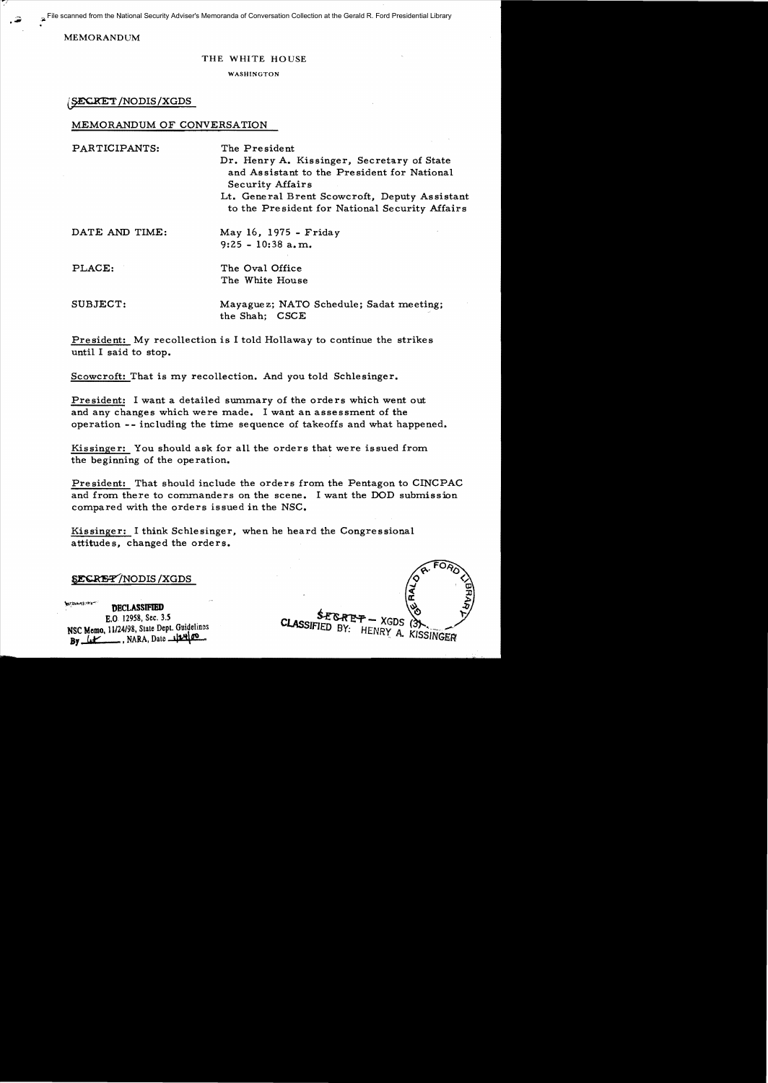File scanned from the National Security Adviser's Memoranda of Conversation Collection at the Gerald R. Ford Presidential Library

#### MEMORANDUM

#### THE WHITE HOUSE

WASHINGTON

## ~/NODIS/XGDS

### MEMORANDUM OF CONVERSATION

| PARTICIPANTS:   | The President<br>Dr. Henry A. Kissinger, Secretary of State<br>and Assistant to the President for National<br>Security Affairs<br>Lt. General Brent Scowcroft, Deputy Assistant<br>to the President for National Security Affairs |
|-----------------|-----------------------------------------------------------------------------------------------------------------------------------------------------------------------------------------------------------------------------------|
| DATE AND TIME:  | May 16, 1975 - Friday<br>$9:25 - 10:38$ a.m.                                                                                                                                                                                      |
| PLACE:          | The Oval Office<br>The White House                                                                                                                                                                                                |
| <b>SUBJECT:</b> | Mayaguez; NATO Schedule; Sadat meeting;<br>the Shah; CSCE                                                                                                                                                                         |

President: *My* recollection is I told Hollaway to continue the strikes until I said to stop.

Scowcroft: That is my recollection. And you told Schlesinger.

President: I want a detailed summary of the orders which went out and any changes which were made. I want an assessment of the operation -- including the time sequence of takeoffs and what happened.

Kissinger: You should ask for all the orders that were issued from the beginning of the operation.

President: That should include the orders from the Pentagon to CINCPAC and from there to commanders on the scene. I want the DOD submission compared with the orders issued in the NSC.

Kissinger: I think Schlesinger, when he heard the Congressional attitudes, changed the orders.

# **\$ECRET/NODIS/XGDS**

~~l~ 'OBCLASSIFIBD E.O 12958, Sec. 3.5 NSC Memo. 11/24/98, State Dept. Guidelines By <u>Let</u> . NARA, Date 12400

CLASSIFIED BY: HENRY A. KISSINGER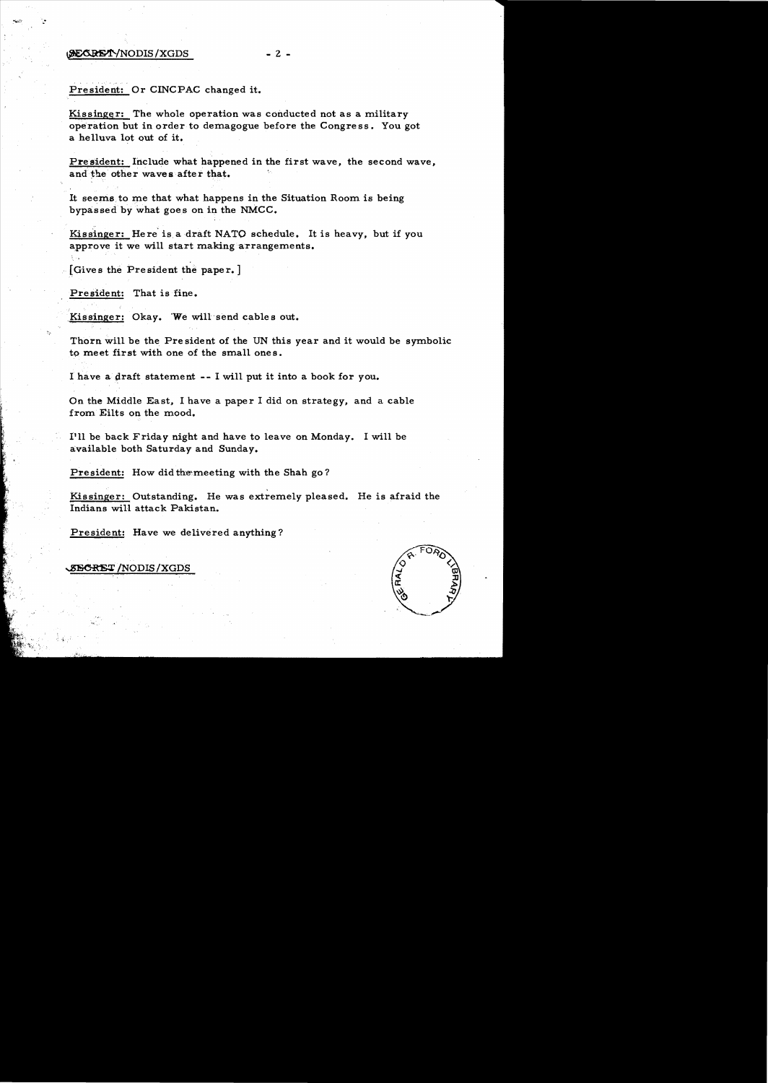### ~NODIS/XGDS - 2

'.

## President: Or CINCPAC changed it.

Kissinger: The whole operation was conducted not as a military operation but in order to demagogue before the Congress. You got a helluva lot out of it.

President: Include what happened in the first wave, the second wave, and the other waves after that.

It seems. to me that what happens in the Situation Room is being bypassed by what goes on in the NMCC.

Kissinger: Here is a draft NATO schedule. It is heavy, but if you approve it we will start making arrangements.

[Gives the President the paper.]

President: That is fine.

Kissinger: Okay. 'We will send cables out.

Thorn will be the Pre sident of the UN this year and it would be symbolic to meet first with one of the small ones.

I have a draft statement -- I will put it into a book for you.

On the Middle East, I have a paper I did on strategy. and a cable from Eilts on the mood.

1111 be back Friday night and have to leave on Monday. I will be available both Saturday and Sunday.

President: How did the meeting with the Shah go?

Kissinger: Outstanding. He was extremely pleased. He is afraid the Indians will attack Pakistan.

President: Have we delivered anything?

~INODIS/XGDS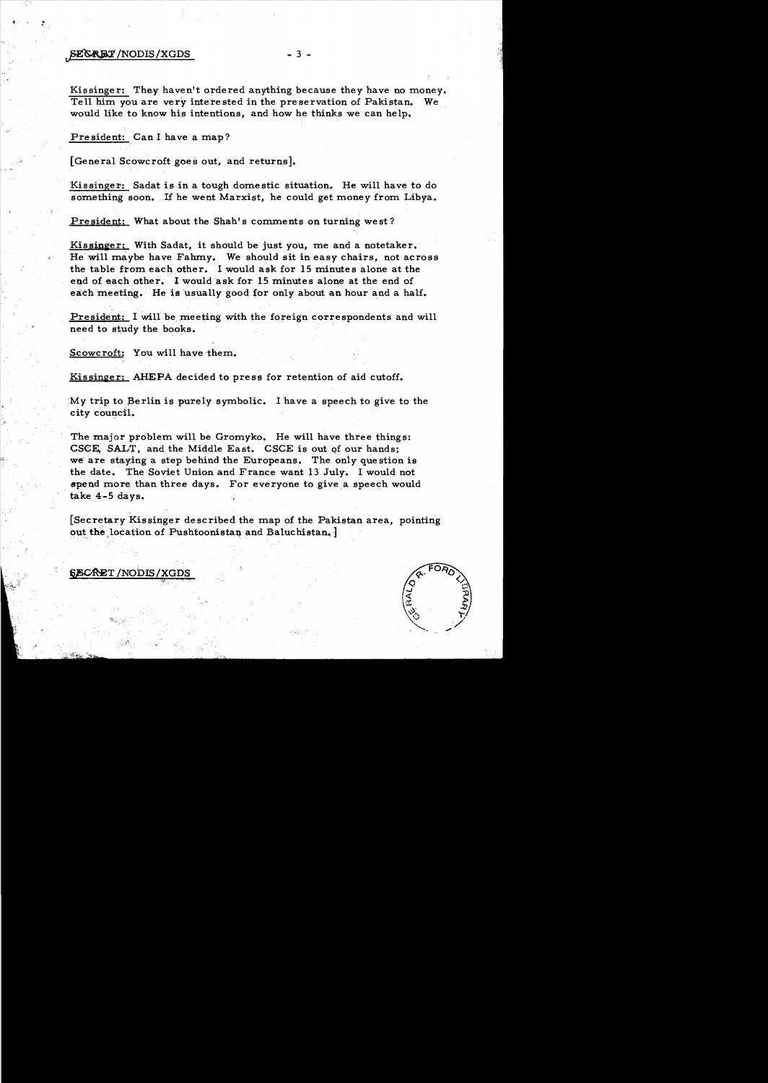### ~/NODIS/XGDS - 3 -

Kissinger: They haven't ordered anything because they have no money. Tell him you are very interested in the preservation of Pakistan. We would like to know his intentions, and how he thinks we can help.

President: Can I have a map?

[General Scowcroft goes out, and returns].

Kissinger: Sadat is in a tough domestic situation. He will have to do something soon. If he went Marxist. he could get money from Libya.

President: What about the Shah's comments on turning west?

Kissinger: With Sadat, it should be just you, me and a notetaker. He will maybe have Fahmy. We should sit in easy chairs, not across the table from each other. I would ask for 15 minutes alone at the end of each other. I would ask for 15 minutes alone at the end of each meeting. He is usually good for only about an hour and a half.

President: I will be meeting with the foreign correspondents and will need to study the books.

Scowcroft: You will have them.

i

Kissinger; AHEPA decided to press for retention of aid cutoff.

 $My$  trip to Berlin is purely symbolic. I have a speech to give to the city council.

The major problem will be Gromyko. He will have three things: CSCE, SALT, and the Middle East. CSCE is out of our hands; we are staying a step behind the Europeans. The only question is the date. The Soviet Union and France want 13 July. I would not spend more than three days. For everyone to give a speech would take 4-5 days. spend more than three days. For everyone to give a speech would

[Secretary Kissinger described the map of the Pakistan area. pointing out the location of Pushtoonistan and Baluchistan...



# /NobIS /XGDS·

 $\cdots$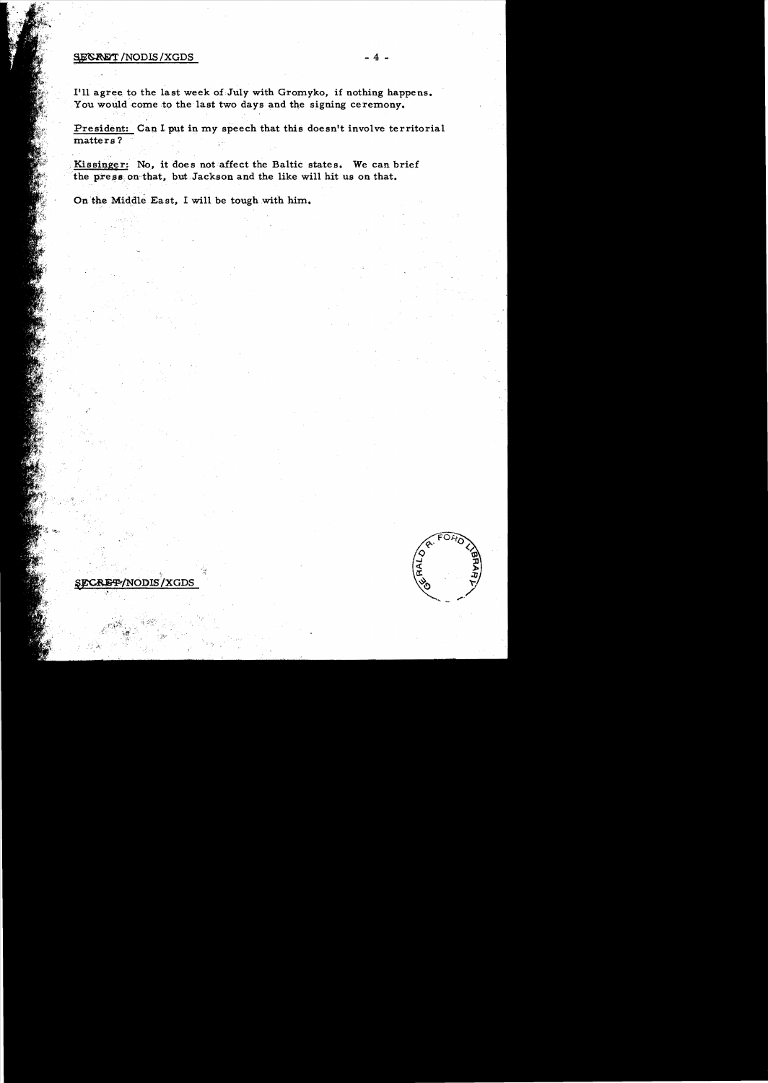# SECRET/NODIS/XGDS - 4

I'll agree to the last week of July with Gromyko, if nothing happens. You would come to the last two days and the signing ceremony.

President: Can I put in my speech that this doesn't involve territorial matters?

Kissinger: No, it does not affect the Baltic states. We can brief the press on that, but Jackson and the like will hit us on that.

On the Middle East, I will be tough with him.



SECRET/NODIS/XGDS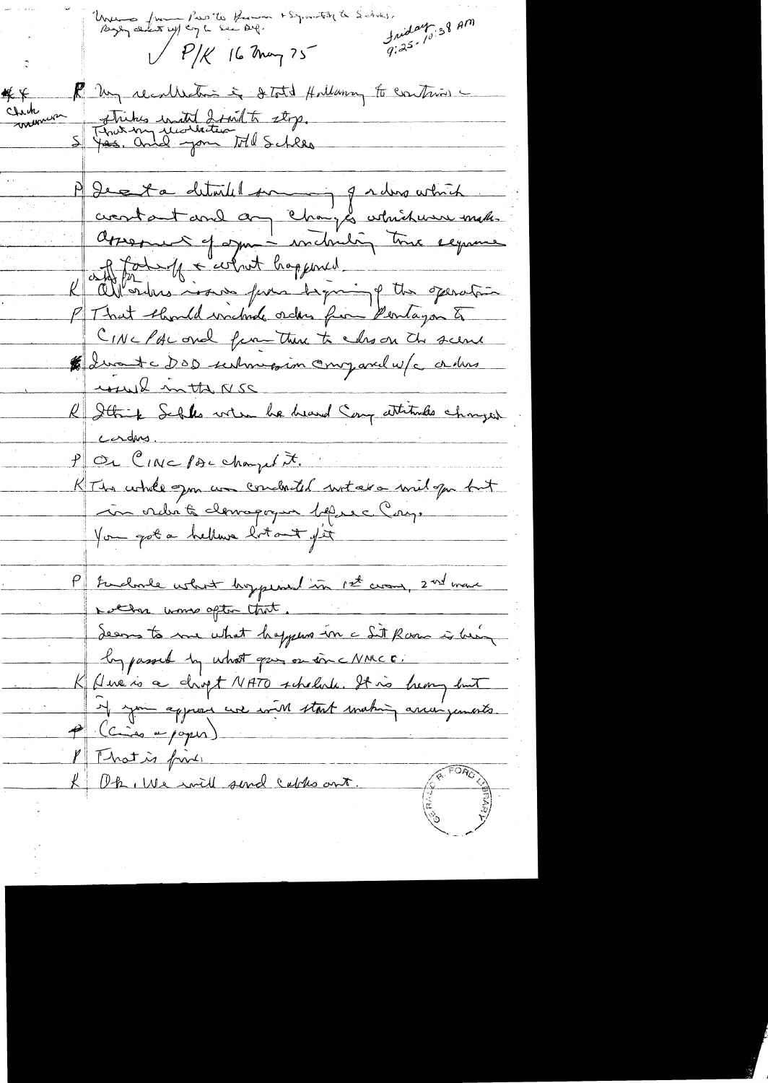Iniday 38 AM Unewers from Provito Proven  $\sqrt{P/K}$  16 may 75 R Un recallection in State Hallamany to contains - $#$ Chack Thins with the stop.<br>5 Thurmy recorrection **NAMAX** M dece la détaille son qu'alors arbich creatant and any changes which were made. associates of agent including time require A form of a coloret happened Katherine 16. Juni 19 the operation P That thould writing orders from Pentagon & CINC/ACONd from there to class on the scene # I want a DOD serbon gion comparel w/c orders es is the methods R Ithink Septes with he heard Song attitudes changed cadrs.  $P$  Or CINC PAC changed it. KTts whole sym an combatel witat a wil spa but You got a hellure litout jet tuchme what hoppered in 1st cross, 2nd man deans to me what happens in a Sit Rose is being by passed by what goes on sinc NMCC. K Aue is a chopt NATO schelade. It is heavy but Il you appress une with start making arrangements.  $P$  (Cines expans) P That is fine K Ok, We will send cables out.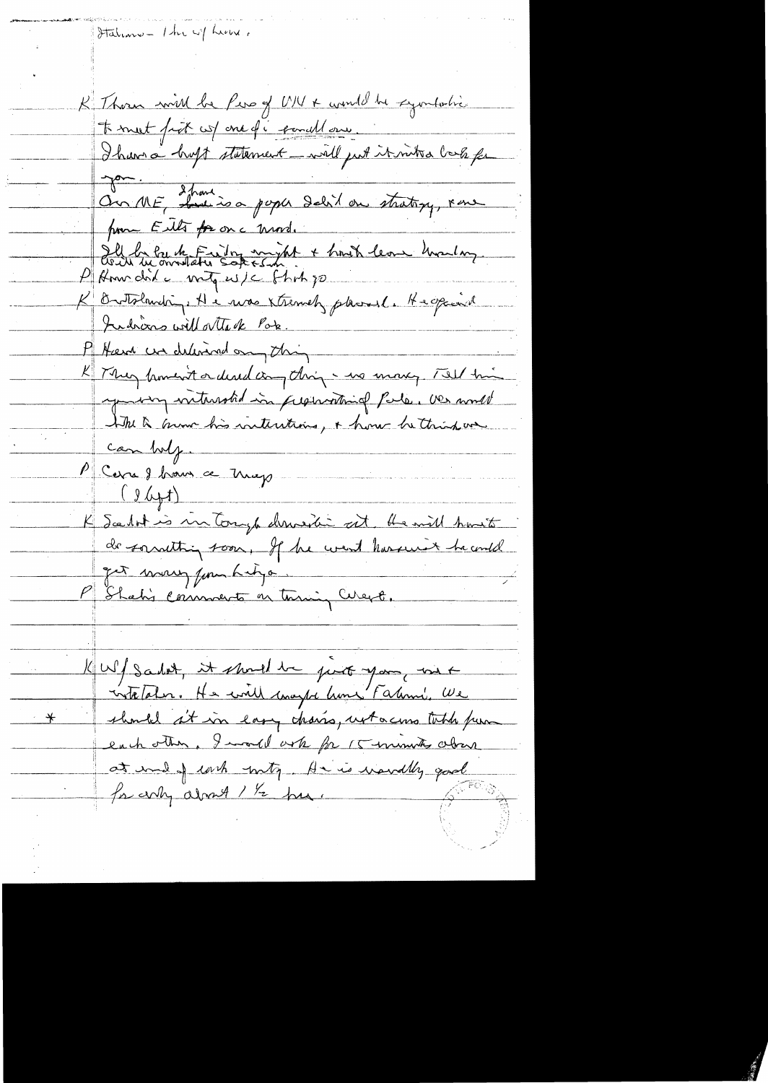Staliano- 1 hr up here.

K Thorn will be few of UNI + would be symbolic en Jon ME, 2 hans<br>On ME, 2 hans is a poper dalid on strating, x me Il branche mod.<br>Délateur de Friday mynt + hast leas hauton. K Brotslandin, A è mas xtremetz placent. He opened Judians will ottok Pok. P Hard un delivered ong this K They homen't a deved any thing - we many Tell him your imtersted in presenting Parte, we would When him his interstance, + how he think are can belg. P Cerre 8 hours ce map K Sachot is intonyh draviti at the will havet  $(96 + 1)$ KWS Sadat, it should be just your, une intetaler. He will concept home 'Falmi', We  $+$ should sit in easy chains, witnesses totals from each other, I would ont for 15 minutes about at and of contracting. And is wouldly good